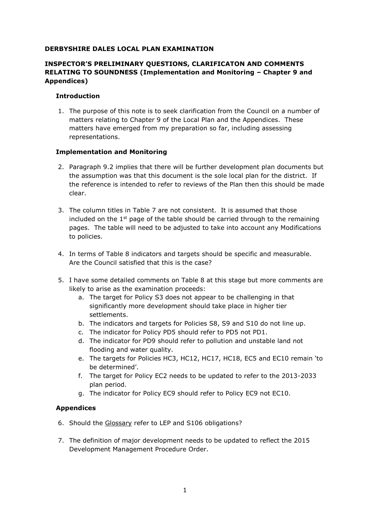### **DERBYSHIRE DALES LOCAL PLAN EXAMINATION**

# **INSPECTOR'S PRELIMINARY QUESTIONS, CLARIFICATON AND COMMENTS RELATING TO SOUNDNESS (Implementation and Monitoring – Chapter 9 and Appendices)**

### **Introduction**

1. The purpose of this note is to seek clarification from the Council on a number of matters relating to Chapter 9 of the Local Plan and the Appendices. These matters have emerged from my preparation so far, including assessing representations.

### **Implementation and Monitoring**

- 2. Paragraph 9.2 implies that there will be further development plan documents but the assumption was that this document is the sole local plan for the district. If the reference is intended to refer to reviews of the Plan then this should be made clear.
- 3. The column titles in Table 7 are not consistent. It is assumed that those included on the  $1<sup>st</sup>$  page of the table should be carried through to the remaining pages. The table will need to be adjusted to take into account any Modifications to policies.
- 4. In terms of Table 8 indicators and targets should be specific and measurable. Are the Council satisfied that this is the case?
- 5. I have some detailed comments on Table 8 at this stage but more comments are likely to arise as the examination proceeds:
	- a. The target for Policy S3 does not appear to be challenging in that significantly more development should take place in higher tier settlements.
	- b. The indicators and targets for Policies S8, S9 and S10 do not line up.
	- c. The indicator for Policy PD5 should refer to PD5 not PD1.
	- d. The indicator for PD9 should refer to pollution and unstable land not flooding and water quality.
	- e. The targets for Policies HC3, HC12, HC17, HC18, EC5 and EC10 remain 'to be determined'.
	- f. The target for Policy EC2 needs to be updated to refer to the 2013-2033 plan period.
	- g. The indicator for Policy EC9 should refer to Policy EC9 not EC10.

## **Appendices**

- 6. Should the Glossary refer to LEP and S106 obligations?
- 7. The definition of major development needs to be updated to reflect the 2015 Development Management Procedure Order.